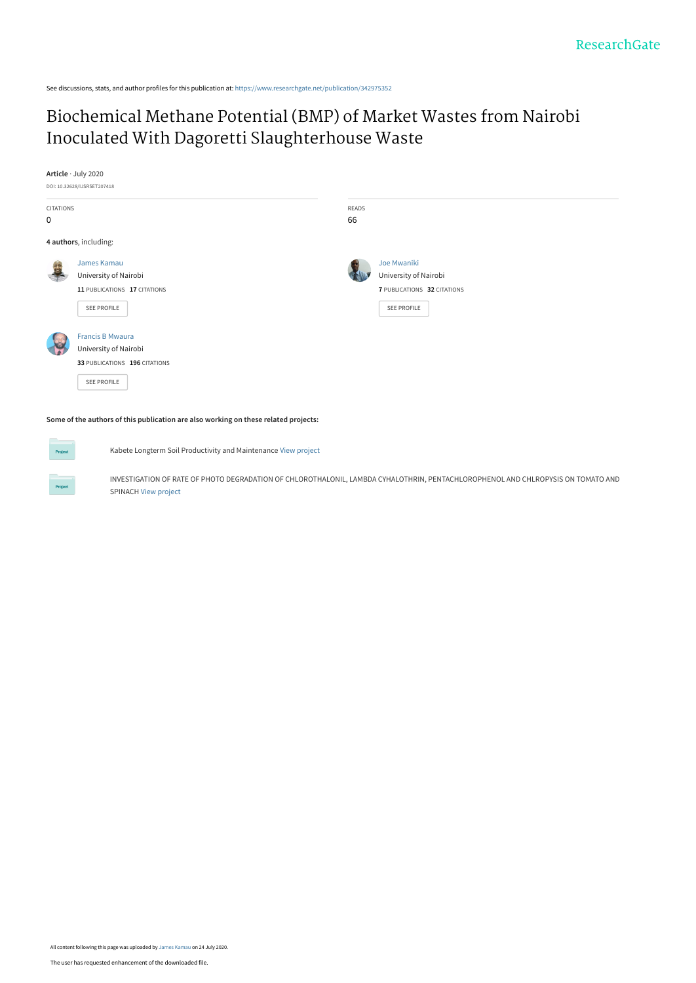See discussions, stats, and author profiles for this publication at: [https://www.researchgate.net/publication/342975352](https://www.researchgate.net/publication/342975352_Biochemical_Methane_Potential_BMP_of_Market_Wastes_from_Nairobi_Inoculated_With_Dagoretti_Slaughterhouse_Waste?enrichId=rgreq-820154f88f2881f5c5689a8c1edbda2e-XXX&enrichSource=Y292ZXJQYWdlOzM0Mjk3NTM1MjtBUzo5MTY2OTEyNjU1MzYwMDBAMTU5NTU2NzYzNzIxMg%3D%3D&el=1_x_2&_esc=publicationCoverPdf)

## [Biochemical Methane Potential \(BMP\) of Market Wastes from Nairobi](https://www.researchgate.net/publication/342975352_Biochemical_Methane_Potential_BMP_of_Market_Wastes_from_Nairobi_Inoculated_With_Dagoretti_Slaughterhouse_Waste?enrichId=rgreq-820154f88f2881f5c5689a8c1edbda2e-XXX&enrichSource=Y292ZXJQYWdlOzM0Mjk3NTM1MjtBUzo5MTY2OTEyNjU1MzYwMDBAMTU5NTU2NzYzNzIxMg%3D%3D&el=1_x_3&_esc=publicationCoverPdf) Inoculated With Dagoretti Slaughterhouse Waste

**Article** · July 2020

DOI: 10.32628/IJSRSET207418



**Some of the authors of this publication are also working on these related projects:**

Kabete Longterm Soil Productivity and Maintenance [View project](https://www.researchgate.net/project/Kabete-Longterm-Soil-Productivity-and-Maintenance?enrichId=rgreq-820154f88f2881f5c5689a8c1edbda2e-XXX&enrichSource=Y292ZXJQYWdlOzM0Mjk3NTM1MjtBUzo5MTY2OTEyNjU1MzYwMDBAMTU5NTU2NzYzNzIxMg%3D%3D&el=1_x_9&_esc=publicationCoverPdf)

INVESTIGATION OF RATE OF PHOTO DEGRADATION OF CHLOROTHALONIL, LAMBDA CYHALOTHRIN, PENTACHLOROPHENOL AND CHLROPYSIS ON TOMATO AND SPINACH [View project](https://www.researchgate.net/project/INVESTIGATION-OF-RATE-OF-PHOTO-DEGRADATION-OF-CHLOROTHALONIL-LAMBDA-CYHALOTHRIN-PENTACHLOROPHENOL-AND-CHLROPYSIS-ON-TOMATO-AND-SPINACH?enrichId=rgreq-820154f88f2881f5c5689a8c1edbda2e-XXX&enrichSource=Y292ZXJQYWdlOzM0Mjk3NTM1MjtBUzo5MTY2OTEyNjU1MzYwMDBAMTU5NTU2NzYzNzIxMg%3D%3D&el=1_x_9&_esc=publicationCoverPdf)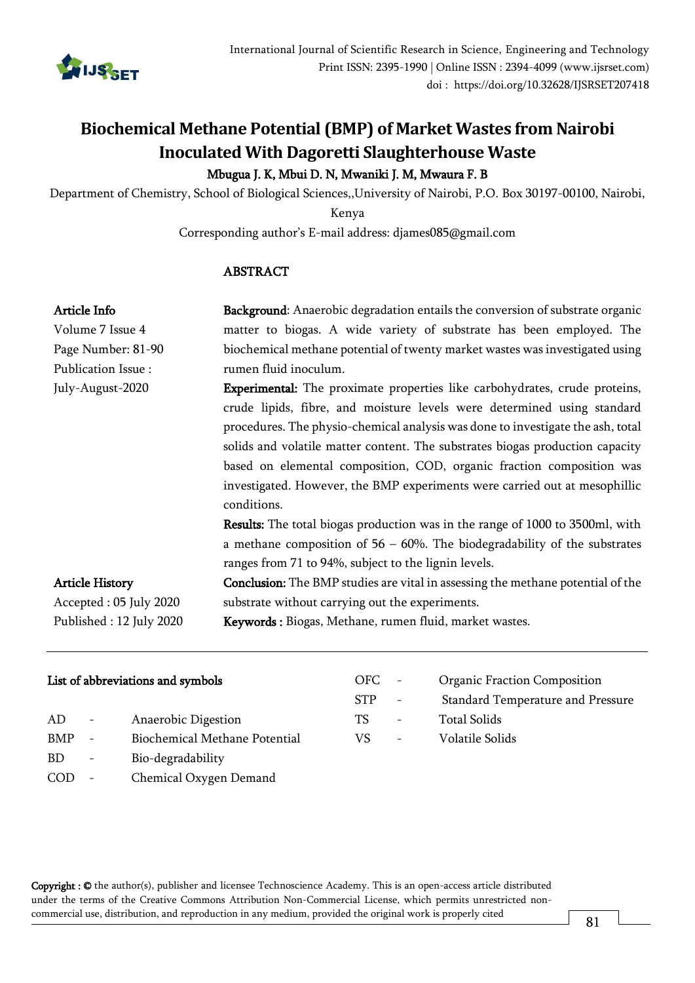

# **Biochemical Methane Potential (BMP) of Market Wastes from Nairobi Inoculated With Dagoretti Slaughterhouse Waste**

## Mbugua J. K, Mbui D. N, Mwaniki J. M, Mwaura F. B

Department of Chemistry, School of Biological Sciences,,University of Nairobi, P.O. Box 30197-00100, Nairobi,

Kenya

Corresponding author's E-mail address: djames08[5@gmail.com](mailto:waswagabriel@gmail.com)

## ABSTRACT

| Article Info            | Background: Anaerobic degradation entails the conversion of substrate organic          |  |  |  |  |  |
|-------------------------|----------------------------------------------------------------------------------------|--|--|--|--|--|
| Volume 7 Issue 4        | matter to biogas. A wide variety of substrate has been employed. The                   |  |  |  |  |  |
| Page Number: 81-90      | biochemical methane potential of twenty market wastes was investigated using           |  |  |  |  |  |
| Publication Issue:      | rumen fluid inoculum.                                                                  |  |  |  |  |  |
| July-August-2020        | <b>Experimental:</b> The proximate properties like carbohydrates, crude proteins,      |  |  |  |  |  |
|                         | crude lipids, fibre, and moisture levels were determined using standard                |  |  |  |  |  |
|                         | procedures. The physio-chemical analysis was done to investigate the ash, total        |  |  |  |  |  |
|                         | solids and volatile matter content. The substrates biogas production capacity          |  |  |  |  |  |
|                         | based on elemental composition, COD, organic fraction composition was                  |  |  |  |  |  |
|                         | investigated. However, the BMP experiments were carried out at mesophillic             |  |  |  |  |  |
|                         | conditions.                                                                            |  |  |  |  |  |
|                         | <b>Results:</b> The total biogas production was in the range of 1000 to 3500ml, with   |  |  |  |  |  |
|                         | a methane composition of $56 - 60\%$ . The biodegradability of the substrates          |  |  |  |  |  |
|                         | ranges from 71 to 94%, subject to the lignin levels.                                   |  |  |  |  |  |
| <b>Article History</b>  | <b>Conclusion:</b> The BMP studies are vital in assessing the methane potential of the |  |  |  |  |  |
| Accepted: 05 July 2020  | substrate without carrying out the experiments.                                        |  |  |  |  |  |
| Published: 12 July 2020 | Keywords: Biogas, Methane, rumen fluid, market wastes.                                 |  |  |  |  |  |
|                         |                                                                                        |  |  |  |  |  |

| List of abbreviations and symbols |  |
|-----------------------------------|--|
|                                   |  |

| AD.        | Anaerobic Digestion                  |
|------------|--------------------------------------|
| <b>BMP</b> | <b>Biochemical Methane Potential</b> |
| -BD        | Bio-degradability                    |
| COD        | Chemical Oxygen Demand               |

| OFC.       | <b>Organic Fraction Composition</b> |
|------------|-------------------------------------|
| <b>STP</b> | Standard Temperature and Pressure   |
| TS         | Total Solids                        |
| VS.        | Volatile Solids                     |
|            |                                     |

Copyright : © the author(s), publisher and licensee Technoscience Academy. This is an open-access article distributed under the terms of the Creative Commons Attribution Non-Commercial License, which permits unrestricted noncommercial use, distribution, and reproduction in any medium, provided the original work is properly cited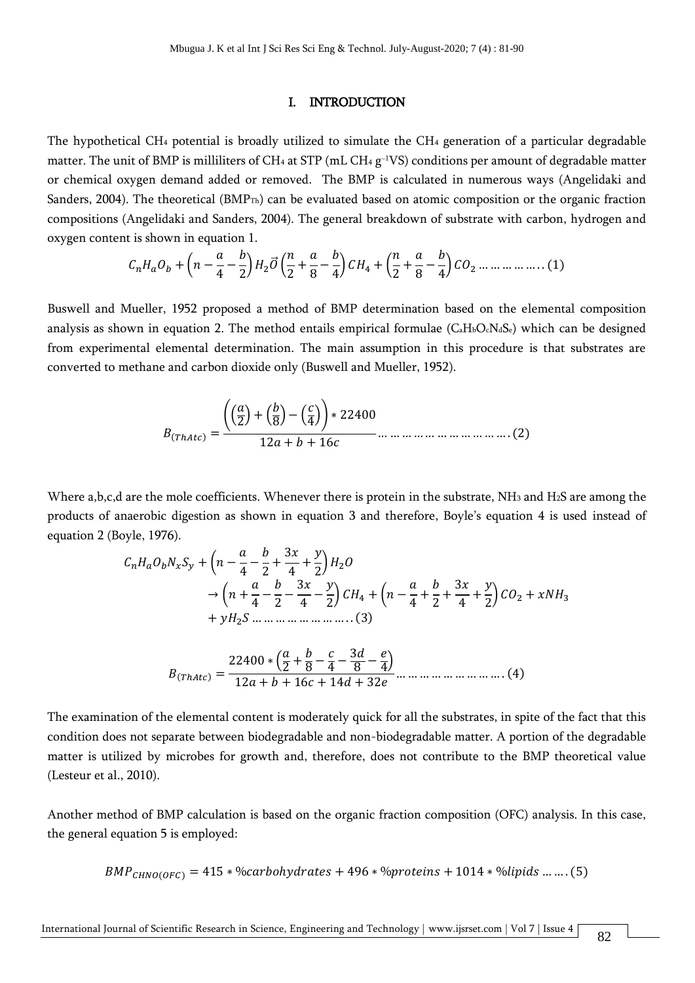#### I. INTRODUCTION

The hypothetical CH<sup>4</sup> potential is broadly utilized to simulate the CH<sup>4</sup> generation of a particular degradable matter. The unit of BMP is milliliters of CH4 at STP (mL CH4  $\rm g$ <sup>-1</sup>VS) conditions per amount of degradable matter or chemical oxygen demand added or removed. The BMP is calculated in numerous ways (Angelidaki and Sanders, 2004). The theoretical (BMP<sub>Th</sub>) can be evaluated based on atomic composition or the organic fraction compositions (Angelidaki and Sanders, 2004). The general breakdown of substrate with carbon, hydrogen and oxygen content is shown in equation 1.

$$
C_nH_aO_b + \left(n - \frac{a}{4} - \frac{b}{2}\right)H_2\vec{O}\left(\frac{n}{2} + \frac{a}{8} - \frac{b}{4}\right)CH_4 + \left(\frac{n}{2} + \frac{a}{8} - \frac{b}{4}\right)CO_2 \dots \dots \dots \dots \dots \dots (1)
$$

Buswell and Mueller, 1952 proposed a method of BMP determination based on the elemental composition analysis as shown in equation 2. The method entails empirical formulae (C<sub>a</sub>H<sub>b</sub>O<sub>c</sub>N<sub>dSe</sub>) which can be designed from experimental elemental determination. The main assumption in this procedure is that substrates are converted to methane and carbon dioxide only (Buswell and Mueller, 1952).

(ℎ) = (( 2 ) + ( 8 ) − ( 4 )) ∗ 22400 12 + + 16 … … … … … … … … … … … . (2)

Where a,b,c,d are the mole coefficients. Whenever there is protein in the substrate, NH<sub>3</sub> and H<sub>2</sub>S are among the products of anaerobic digestion as shown in equation 3 and therefore, Boyle's equation 4 is used instead of equation 2 (Boyle, 1976).

 + ( − 4 − 2 + 3 4 + 2 ) 2 → ( + 4 − 2 − 3 4 − 2 ) <sup>4</sup> + ( − 4 + 2 + 3 4 + 2 ) <sup>2</sup> + <sup>3</sup> + 2 … … … … … … … … . . (3) (ℎ) = 22400 ∗ ( 2 + 8 − 4 − 3 8 − 4 ) 12 + + 16 + 14 + 32 … … … … … … … … … . (4)

The examination of the elemental content is moderately quick for all the substrates, in spite of the fact that this condition does not separate between biodegradable and non-biodegradable matter. A portion of the degradable matter is utilized by microbes for growth and, therefore, does not contribute to the BMP theoretical value (Lesteur et al., 2010).

Another method of BMP calculation is based on the organic fraction composition (OFC) analysis. In this case, the general equation 5 is employed:

$$
BMP_{CHNO(0FC)} = 415 * %carbonydrates + 496 * %proteins + 1014 * %lipids … … (5)
$$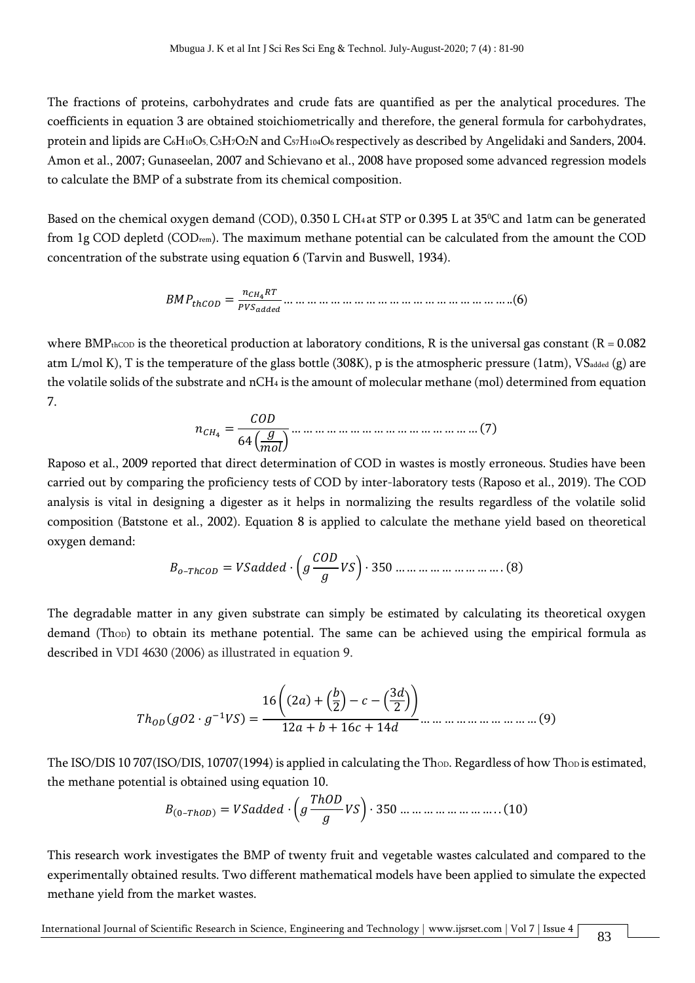The fractions of proteins, carbohydrates and crude fats are quantified as per the analytical procedures. The coefficients in equation 3 are obtained stoichiometrically and therefore, the general formula for carbohydrates, protein and lipids are C6H10O5, C5H7O2N and C57H104O6 respectively as described by Angelidaki and Sanders, 2004. Amon et al., 2007; Gunaseelan, 2007 and Schievano et al., 2008 have proposed some advanced regression models to calculate the BMP of a substrate from its chemical composition.

Based on the chemical oxygen demand (COD), 0.350 L CH<sub>4</sub> at STP or 0.395 L at 35<sup>o</sup>C and 1atm can be generated from 1g COD depletd (CODrem). The maximum methane potential can be calculated from the amount the COD concentration of the substrate using equation 6 (Tarvin and Buswell, 1934).

ℎ = 4 … … … … … … … … … … … … … … … … … … … ..(6)

where BMP<sub>thCOD</sub> is the theoretical production at laboratory conditions, R is the universal gas constant (R = 0.082) atm L/mol K), T is the temperature of the glass bottle (308K), p is the atmospheric pressure (1atm), VSadded (g) are the volatile solids of the substrate and nCH<sup>4</sup> is the amount of molecular methane (mol) determined from equation 7.

$$
n_{CH_4} = \frac{COD}{64\left(\frac{g}{mol}\right)} \dots \dots \dots \dots \dots \dots \dots \dots \dots \dots \dots \dots \dots \dots \dots \dots \dots \dots \tag{7}
$$

Raposo et al., 2009 reported that direct determination of COD in wastes is mostly erroneous. Studies have been carried out by comparing the proficiency tests of COD by inter-laboratory tests (Raposo et al., 2019). The COD analysis is vital in designing a digester as it helps in normalizing the results regardless of the volatile solid composition (Batstone et al., 2002). Equation 8 is applied to calculate the methane yield based on theoretical oxygen demand:

–ℎ = · ( ) · 350 … … … … … … … … … . (8)

The degradable matter in any given substrate can simply be estimated by calculating its theoretical oxygen demand (Thop) to obtain its methane potential. The same can be achieved using the empirical formula as described in VDI 4630 (2006) as illustrated in equation 9.

$$
Th_{OD}(gO2 \cdot g^{-1}VS) = \frac{16\left((2a) + \left(\frac{b}{2}\right) - c - \left(\frac{3d}{2}\right)\right)}{12a + b + 16c + 14d} \dots \dots \dots \dots \dots \dots \dots \dots \dots (9)
$$

The ISO/DIS 10 707(ISO/DIS, 10707(1994) is applied in calculating the Thop. Regardless of how Thop is estimated, the methane potential is obtained using equation 10.

(0–ℎ) = · ( ℎ ) · 350 … … … … … … … … . . (10)

This research work investigates the BMP of twenty fruit and vegetable wastes calculated and compared to the experimentally obtained results. Two different mathematical models have been applied to simulate the expected methane yield from the market wastes.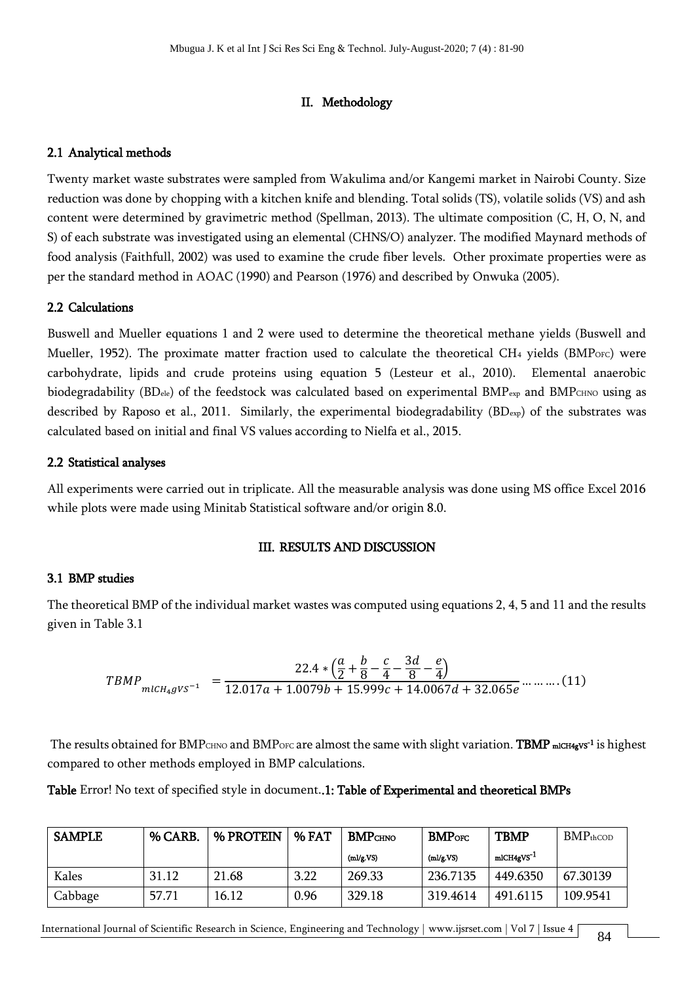### II. Methodology

#### 2.1 Analytical methods

Twenty market waste substrates were sampled from Wakulima and/or Kangemi market in Nairobi County. Size reduction was done by chopping with a kitchen knife and blending. Total solids (TS), volatile solids (VS) and ash content were determined by gravimetric method (Spellman, 2013). The ultimate composition (C, H, O, N, and S) of each substrate was investigated using an elemental (CHNS/O) analyzer. The modified Maynard methods of food analysis (Faithfull, 2002) was used to examine the crude fiber levels. Other proximate properties were as per the standard method in AOAC (1990) and Pearson (1976) and described by Onwuka (2005).

#### 2.2 Calculations

Buswell and Mueller equations 1 and 2 were used to determine the theoretical methane yields (Buswell and Mueller, 1952). The proximate matter fraction used to calculate the theoretical CH<sub>4</sub> yields (BMP<sub>OFC</sub>) were carbohydrate, lipids and crude proteins using equation 5 (Lesteur et al., 2010). Elemental anaerobic biodegradability (BDele) of the feedstock was calculated based on experimental BMP<sub>exp</sub> and BMPCHNO using as described by Raposo et al., 2011. Similarly, the experimental biodegradability  $(BD_{exp})$  of the substrates was calculated based on initial and final VS values according to Nielfa et al., 2015.

#### 2.2 Statistical analyses

All experiments were carried out in triplicate. All the measurable analysis was done using MS office Excel 2016 while plots were made using Minitab Statistical software and/or origin 8.0.

#### III. RESULTS AND DISCUSSION

#### 3.1 BMP studies

The theoretical BMP of the individual market wastes was computed using equations 2, 4, 5 and 11 and the results given in Table 3.1

$$
T B M P_{m I C H_4 g V S^{-1}} = \frac{22.4 * (\frac{a}{2} + \frac{b}{8} - \frac{c}{4} - \frac{3d}{8} - \frac{e}{4})}{12.017a + 1.0079b + 15.999c + 14.0067d + 32.065e \cdots \cdots \cdots (11)}
$$

The results obtained for BMP $_{\rm CHNO}$  and BMP $_{\rm OFC}$  are almost the same with slight variation.  ${\rm TBMP}$  m1cH4gvs<sup>-1</sup> is highest compared to other methods employed in BMP calculations.

Table Error! No text of specified style in document..1: Table of Experimental and theoretical BMPs

| <b>SAMPLE</b> | % CARB. | % PROTEIN | % FAT | <b>BMP</b> CHNO | <b>BMP</b> orc | <b>TBMP</b>           | $BMPth$ cod |
|---------------|---------|-----------|-------|-----------------|----------------|-----------------------|-------------|
|               |         |           |       | (ml/g.VS)       | (ml/g.VS)      | mlCH4gVS <sup>1</sup> |             |
| Kales         | 31.12   | 21.68     | 3.22  | 269.33          | 236.7135       | 449.6350              | 67.30139    |
| Cabbage       | 57.71   | 16.12     | 0.96  | 329.18          | 319.4614       | 491.6115              | 109.9541    |

International Journal of Scientific Research in Science, Engineering and Technology | [www.ijsrset.com](http://www.ijsrset.com/) | Vol 7 | Issue 4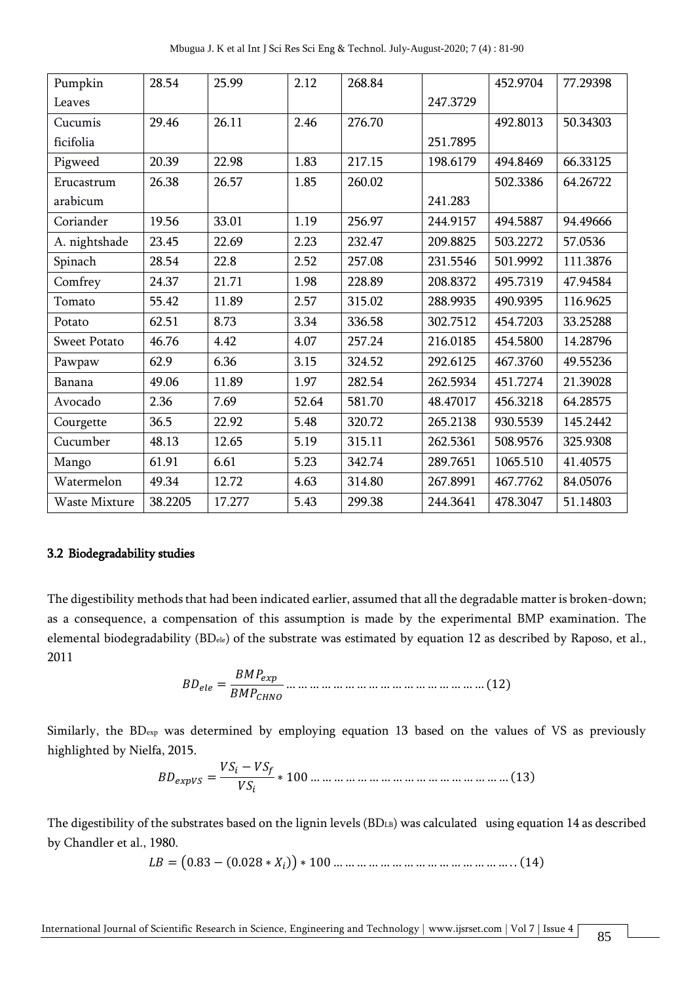| Pumpkin             | 28.54   | 25.99  | 2.12  | 268.84 |          | 452.9704 | 77.29398 |
|---------------------|---------|--------|-------|--------|----------|----------|----------|
| Leaves              |         |        |       |        | 247.3729 |          |          |
| Cucumis             | 29.46   | 26.11  | 2.46  | 276.70 |          | 492.8013 | 50.34303 |
| ficifolia           |         |        |       |        | 251.7895 |          |          |
| Pigweed             | 20.39   | 22.98  | 1.83  | 217.15 | 198.6179 | 494.8469 | 66.33125 |
| Erucastrum          | 26.38   | 26.57  | 1.85  | 260.02 |          | 502.3386 | 64.26722 |
| arabicum            |         |        |       |        | 241.283  |          |          |
| Coriander           | 19.56   | 33.01  | 1.19  | 256.97 | 244.9157 | 494.5887 | 94.49666 |
| A. nightshade       | 23.45   | 22.69  | 2.23  | 232.47 | 209.8825 | 503.2272 | 57.0536  |
| Spinach             | 28.54   | 22.8   | 2.52  | 257.08 | 231.5546 | 501.9992 | 111.3876 |
| Comfrey             | 24.37   | 21.71  | 1.98  | 228.89 | 208.8372 | 495.7319 | 47.94584 |
| Tomato              | 55.42   | 11.89  | 2.57  | 315.02 | 288.9935 | 490.9395 | 116.9625 |
| Potato              | 62.51   | 8.73   | 3.34  | 336.58 | 302.7512 | 454.7203 | 33.25288 |
| <b>Sweet Potato</b> | 46.76   | 4.42   | 4.07  | 257.24 | 216.0185 | 454.5800 | 14.28796 |
| Pawpaw              | 62.9    | 6.36   | 3.15  | 324.52 | 292.6125 | 467.3760 | 49.55236 |
| Banana              | 49.06   | 11.89  | 1.97  | 282.54 | 262.5934 | 451.7274 | 21.39028 |
| Avocado             | 2.36    | 7.69   | 52.64 | 581.70 | 48.47017 | 456.3218 | 64.28575 |
| Courgette           | 36.5    | 22.92  | 5.48  | 320.72 | 265.2138 | 930.5539 | 145.2442 |
| Cucumber            | 48.13   | 12.65  | 5.19  | 315.11 | 262.5361 | 508.9576 | 325.9308 |
| Mango               | 61.91   | 6.61   | 5.23  | 342.74 | 289.7651 | 1065.510 | 41.40575 |
| Watermelon          | 49.34   | 12.72  | 4.63  | 314.80 | 267.8991 | 467.7762 | 84.05076 |
| Waste Mixture       | 38.2205 | 17.277 | 5.43  | 299.38 | 244.3641 | 478.3047 | 51.14803 |

#### 3.2 Biodegradability studies

The digestibility methods that had been indicated earlier, assumed that all the degradable matter is broken-down; as a consequence, a compensation of this assumption is made by the experimental BMP examination. The elemental biodegradability (BDele) of the substrate was estimated by equation 12 as described by Raposo, et al., 2011

 = … … … … … … … … … … … … … … … … … (12)

Similarly, the BD<sub>exp</sub> was determined by employing equation 13 based on the values of VS as previously highlighted by Nielfa, 2015.

 = − ∗ 100 … … … … … … … … … … … … … … … … … (13)

The digestibility of the substrates based on the lignin levels (BDLB) was calculated using equation 14 as described by Chandler et al., 1980.

 $LB = (0.83 - (0.028 * X_i)) * 100 ... ... ... ... ... ... ... ... ... ... ... ... ... (14)$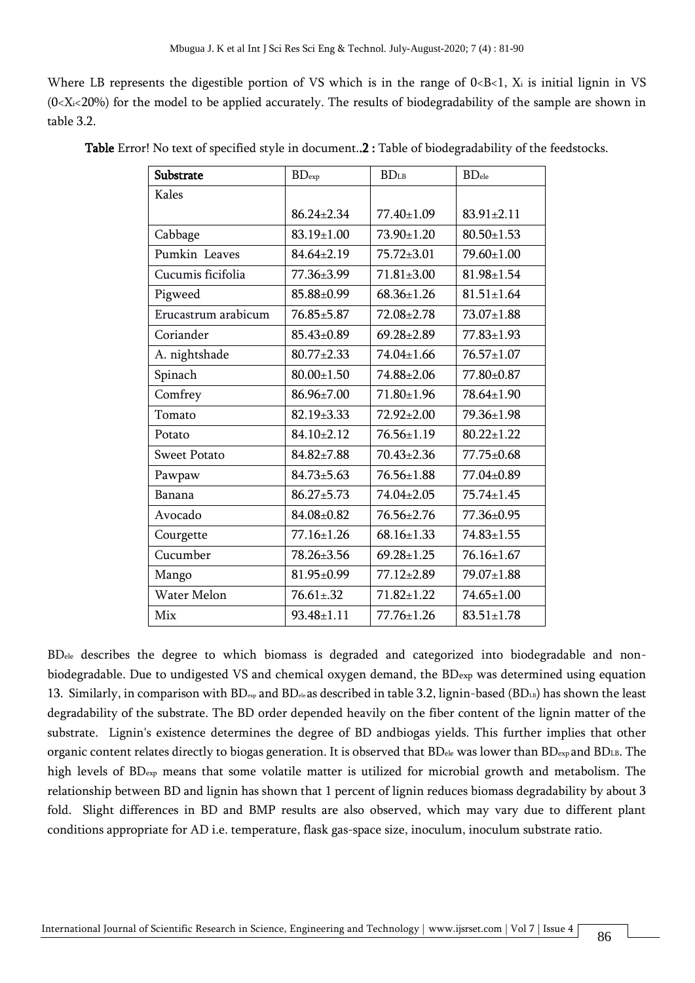Where LB represents the digestible portion of VS which is in the range of  $0, X<sub>i</sub> is initial lignin in VS$  $(0\le X_i\le 20\%)$  for the model to be applied accurately. The results of biodegradability of the sample are shown in table 3.2.

| Substrate           | $BD$ <sub>exp</sub> | <b>BDLB</b>      | <b>BD</b> <sub>ele</sub> |
|---------------------|---------------------|------------------|--------------------------|
| Kales               |                     |                  |                          |
|                     | $86.24 \pm 2.34$    | 77.40±1.09       | $83.91 \pm 2.11$         |
| Cabbage             | $83.19 \pm 1.00$    | 73.90±1.20       | $80.50 \pm 1.53$         |
| Pumkin Leaves       | $84.64 \pm 2.19$    | 75.72±3.01       | 79.60±1.00               |
| Cucumis ficifolia   | 77.36±3.99          | $71.81 \pm 3.00$ | $81.98 \pm 1.54$         |
| Pigweed             | 85.88±0.99          | $68.36 \pm 1.26$ | $81.51 \pm 1.64$         |
| Erucastrum arabicum | 76.85±5.87          | 72.08±2.78       | 73.07±1.88               |
| Coriander           | 85.43±0.89          | $69.28 \pm 2.89$ | 77.83±1.93               |
| A. nightshade       | $80.77 \pm 2.33$    | 74.04±1.66       | $76.57 \pm 1.07$         |
| Spinach             | $80.00 \pm 1.50$    | 74.88±2.06       | 77.80±0.87               |
| Comfrey             | 86.96±7.00          | 71.80±1.96       | 78.64±1.90               |
| Tomato              | $82.19 \pm 3.33$    | $72.92 \pm 2.00$ | 79.36±1.98               |
| Potato              | $84.10 \pm 2.12$    | 76.56±1.19       | $80.22 \pm 1.22$         |
| <b>Sweet Potato</b> | $84.82{\pm}7.88$    | $70.43 \pm 2.36$ | 77.75±0.68               |
| Pawpaw              | $84.73 \pm 5.63$    | $76.56 \pm 1.88$ | 77.04±0.89               |
| Banana              | $86.27 + 5.73$      | 74.04±2.05       | $75.74 \pm 1.45$         |
| Avocado             | 84.08±0.82          | 76.56±2.76       | 77.36±0.95               |
| Courgette           | 77.16±1.26          | $68.16 \pm 1.33$ | $74.83 \pm 1.55$         |
| Cucumber            | 78.26±3.56          | $69.28 \pm 1.25$ | $76.16 \pm 1.67$         |
| Mango               | 81.95±0.99          | $77.12 \pm 2.89$ | 79.07±1.88               |
| Water Melon         | $76.61 \pm .32$     | $71.82 \pm 1.22$ | 74.65±1.00               |
| Mix                 | 93.48±1.11          | 77.76±1.26       | $83.51 \pm 1.78$         |

Table Error! No text of specified style in document..2 : Table of biodegradability of the feedstocks.

BDele describes the degree to which biomass is degraded and categorized into biodegradable and nonbiodegradable. Due to undigested VS and chemical oxygen demand, the BDexp was determined using equation 13. Similarly, in comparison with BD<sub>exp</sub> and BD<sub>ele</sub> as described in table 3.2, lignin-based (BDLB) has shown the least degradability of the substrate. The BD order depended heavily on the fiber content of the lignin matter of the substrate. Lignin's existence determines the degree of BD andbiogas yields. This further implies that other organic content relates directly to biogas generation. It is observed that BD<sub>ele</sub> was lower than BD<sub>exp</sub> and BDLB. The high levels of BDexp means that some volatile matter is utilized for microbial growth and metabolism. The relationship between BD and lignin has shown that 1 percent of lignin reduces biomass degradability by about 3 fold. Slight differences in BD and BMP results are also observed, which may vary due to different plant conditions appropriate for AD i.e. temperature, flask gas-space size, inoculum, inoculum substrate ratio.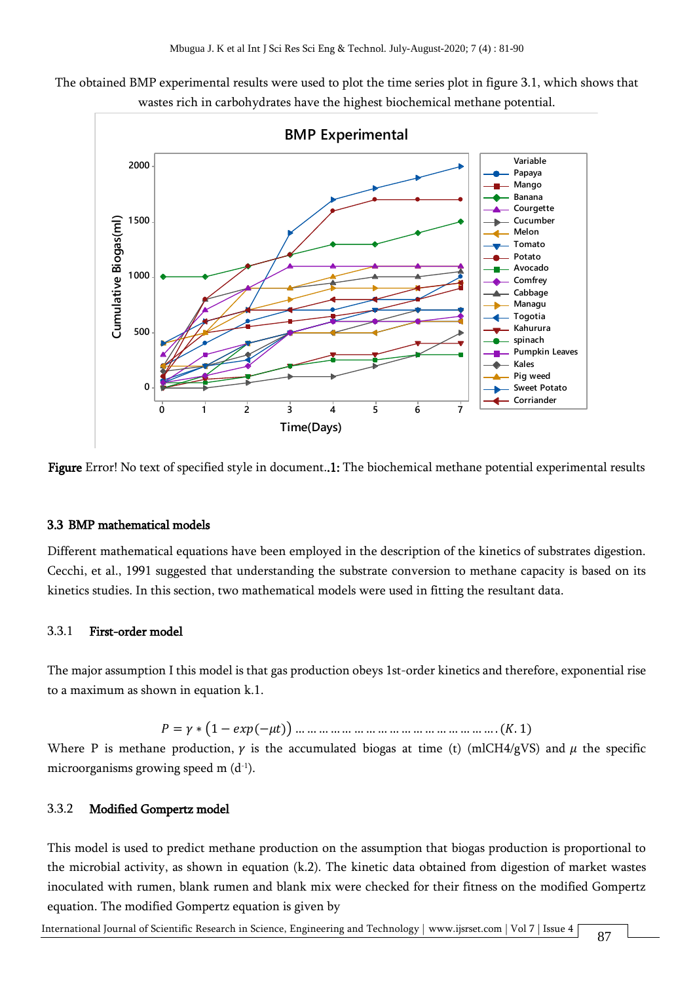The obtained BMP experimental results were used to plot the time series plot in figure 3.1, which shows that wastes rich in carbohydrates have the highest biochemical methane potential.



Figure Error! No text of specified style in document..1: The biochemical methane potential experimental results

#### 3.3 BMP mathematical models

Different mathematical equations have been employed in the description of the kinetics of substrates digestion. Cecchi, et al., 1991 suggested that understanding the substrate conversion to methane capacity is based on its kinetics studies. In this section, two mathematical models were used in fitting the resultant data.

#### 3.3.1 First-order model

The major assumption I this model is that gas production obeys 1st-order kinetics and therefore, exponential rise to a maximum as shown in equation k.1.

 $P = \gamma * (1 - exp(-\mu t))$  … … … … … … … … … … … … … … … … . (K. 1)

Where P is methane production,  $\gamma$  is the accumulated biogas at time (t) (mlCH4/gVS) and  $\mu$  the specific microorganisms growing speed m (d $\,$ 1).

#### 3.3.2 Modified Gompertz model

This model is used to predict methane production on the assumption that biogas production is proportional to the microbial activity, as shown in equation (k.2). The kinetic data obtained from digestion of market wastes inoculated with rumen, blank rumen and blank mix were checked for their fitness on the modified Gompertz equation. The modified Gompertz equation is given by

International Journal of Scientific Research in Science, Engineering and Technology | [www.ijsrset.com](http://www.ijsrset.com/) | Vol 7 | Issue 4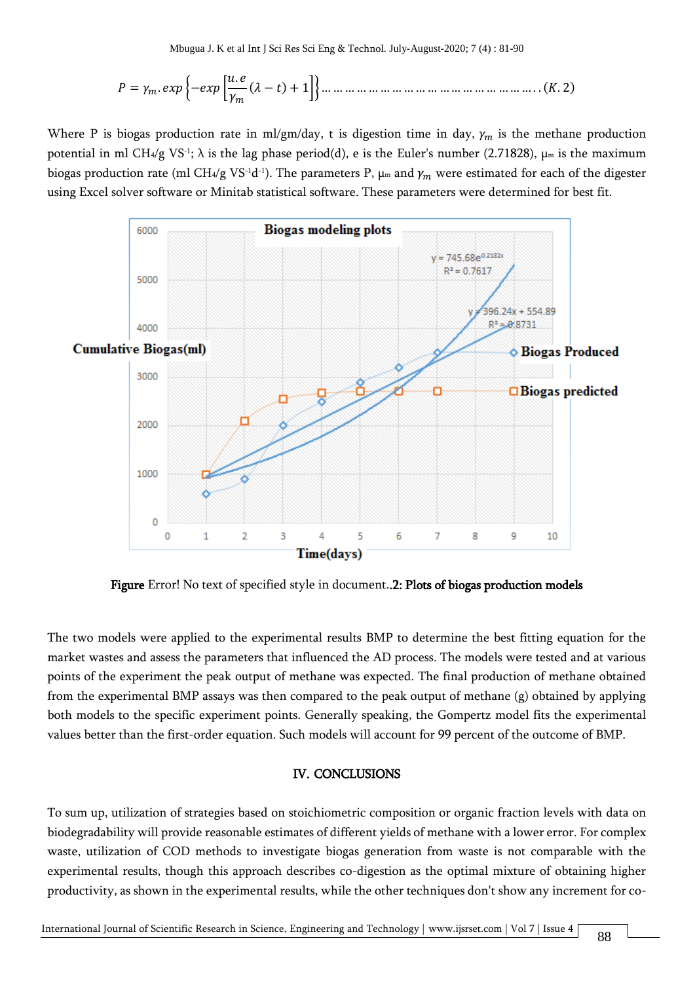= . {− [ . ( − ) + 1]} … … … … … … … … … … … … … … … … … … . . (. 2)

Where P is biogas production rate in ml/gm/day, t is digestion time in day,  $\gamma_m$  is the methane production potential in ml CH4/g VS<sup>-1</sup>;  $\lambda$  is the lag phase period(d), e is the Euler's number (2.71828),  $\mu$ m is the maximum biogas production rate (ml CH4/g VS<sup>-1</sup>d<sup>-1</sup>). The parameters P,  $\mu$ m and  $\gamma_m$  were estimated for each of the digester using Excel solver software or Minitab statistical software. These parameters were determined for best fit.



Figure Error! No text of specified style in document..2: Plots of biogas production models

The two models were applied to the experimental results BMP to determine the best fitting equation for the market wastes and assess the parameters that influenced the AD process. The models were tested and at various points of the experiment the peak output of methane was expected. The final production of methane obtained from the experimental BMP assays was then compared to the peak output of methane (g) obtained by applying both models to the specific experiment points. Generally speaking, the Gompertz model fits the experimental values better than the first-order equation. Such models will account for 99 percent of the outcome of BMP.

#### IV. CONCLUSIONS

To sum up, utilization of strategies based on stoichiometric composition or organic fraction levels with data on biodegradability will provide reasonable estimates of different yields of methane with a lower error. For complex waste, utilization of COD methods to investigate biogas generation from waste is not comparable with the experimental results, though this approach describes co-digestion as the optimal mixture of obtaining higher productivity, as shown in the experimental results, while the other techniques don't show any increment for co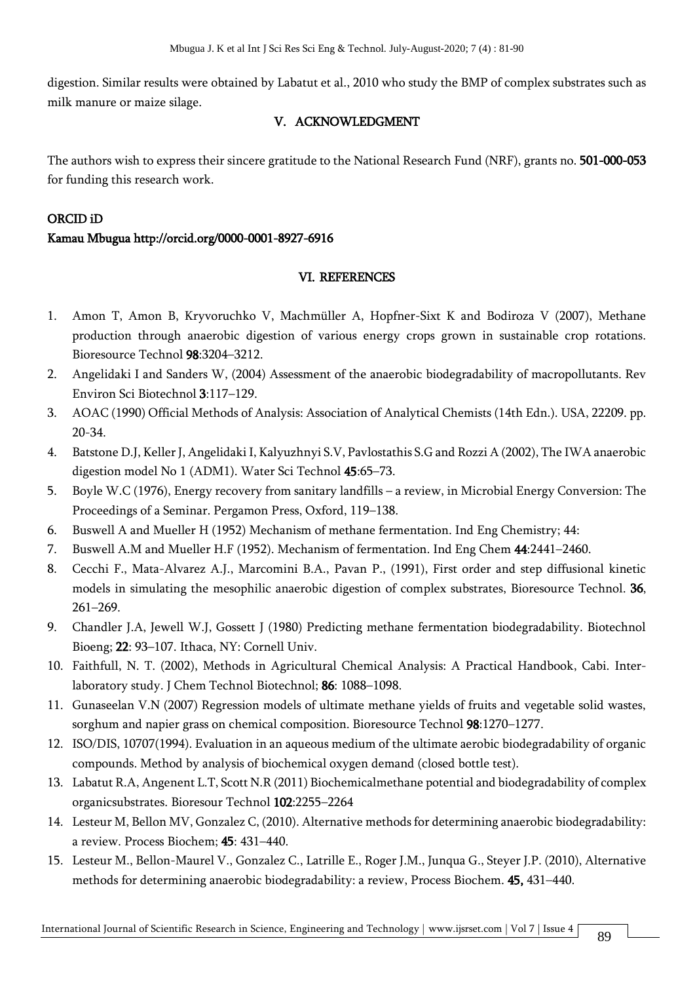digestion. Similar results were obtained by Labatut et al., 2010 who study the BMP of complex substrates such as milk manure or maize silage.

## V. ACKNOWLEDGMENT

The authors wish to express their sincere gratitude to the National Research Fund (NRF), grants no. 501-000-053 for funding this research work.

## ORCID iD

## Kamau Mbugua http://orcid.org/0000-0001-8927-6916

## VI. REFERENCES

- 1. Amon T, Amon B, Kryvoruchko V, Machmüller A, Hopfner-Sixt K and Bodiroza V (2007), Methane production through anaerobic digestion of various energy crops grown in sustainable crop rotations. Bioresource Technol 98:3204–3212.
- 2. Angelidaki I and Sanders W, (2004) Assessment of the anaerobic biodegradability of macropollutants. Rev Environ Sci Biotechnol 3:117–129.
- 3. AOAC (1990) Official Methods of Analysis: Association of Analytical Chemists (14th Edn.). USA, 22209. pp. 20-34.
- 4. Batstone D.J, Keller J, Angelidaki I, Kalyuzhnyi S.V, Pavlostathis S.G and Rozzi A (2002), The IWA anaerobic digestion model No 1 (ADM1). Water Sci Technol 45:65–73.
- 5. Boyle W.C (1976), Energy recovery from sanitary landfills a review, in Microbial Energy Conversion: The Proceedings of a Seminar. Pergamon Press, Oxford, 119–138.
- 6. Buswell A and Mueller H (1952) Mechanism of methane fermentation. Ind Eng Chemistry; 44:
- 7. Buswell A.M and Mueller H.F (1952). Mechanism of fermentation. Ind Eng Chem 44:2441–2460.
- 8. Cecchi F., Mata-Alvarez A.J., Marcomini B.A., Pavan P., (1991), First order and step diffusional kinetic models in simulating the mesophilic anaerobic digestion of complex substrates, Bioresource Technol. 36, 261–269.
- 9. Chandler J.A, Jewell W.J, Gossett J (1980) Predicting methane fermentation biodegradability. Biotechnol Bioeng; 22: 93–107. Ithaca, NY: Cornell Univ.
- 10. Faithfull, N. T. (2002), Methods in Agricultural Chemical Analysis: A Practical Handbook, Cabi. Interlaboratory study. J Chem Technol Biotechnol; 86: 1088–1098.
- 11. Gunaseelan V.N (2007) Regression models of ultimate methane yields of fruits and vegetable solid wastes, sorghum and napier grass on chemical composition. Bioresource Technol 98:1270–1277.
- 12. ISO/DIS, 10707(1994). Evaluation in an aqueous medium of the ultimate aerobic biodegradability of organic compounds. Method by analysis of biochemical oxygen demand (closed bottle test).
- 13. Labatut R.A, Angenent L.T, Scott N.R (2011) Biochemicalmethane potential and biodegradability of complex organicsubstrates. Bioresour Technol 102:2255–2264
- 14. Lesteur M, Bellon MV, Gonzalez C, (2010). Alternative methods for determining anaerobic biodegradability: a review. Process Biochem; 45: 431–440.
- 15. Lesteur M., Bellon-Maurel V., Gonzalez C., Latrille E., Roger J.M., Junqua G., Steyer J.P. (2010), Alternative methods for determining anaerobic biodegradability: a review, Process Biochem. 45, 431–440.